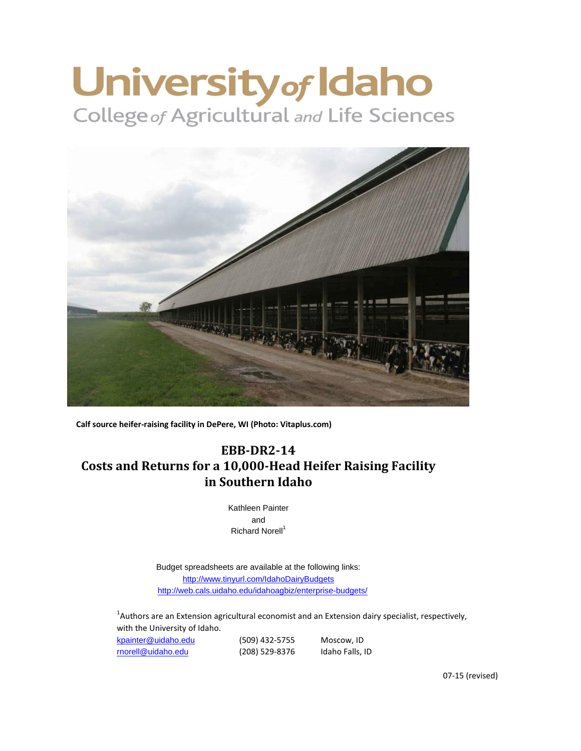# University of Idaho



**Calf source heifer-raising facility in DePere, WI (Photo: Vitaplus.com)**

# **EBB-DR2-14 Costs and Returns for a 10,000-Head Heifer Raising Facility in Southern Idaho**

Kathleen Painter and Richard Norell<sup>1</sup>

[http://www.tinyurl.com/Idah](http://www.tinyurl.com/IdahoDairyBudgets)oDairyBudgets <http://web.cals.uidaho.edu/idahoagbiz/enterprise-budgets/> Budget spreadsheets are available at the following links:

 $^{1}$ Authors are an Extension agricultural economist and an Extension dairy specialist, respectively, with the University of Idaho.

| kpainter@uidaho.edu | (509) 432-5755 | Moscow, ID      |
|---------------------|----------------|-----------------|
| rnorell@uidaho.edu  | (208) 529-8376 | Idaho Falls, ID |

07-15 (revised)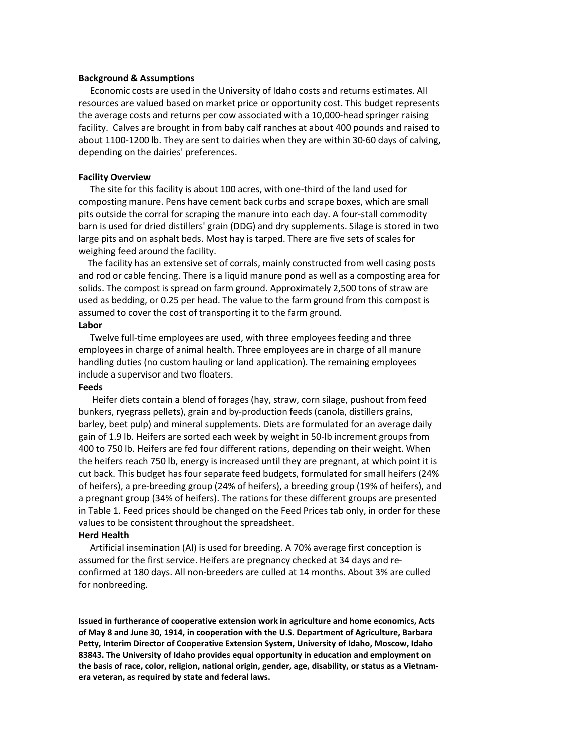## **Background & Assumptions**

Economic costs are used in the University of Idaho costs and returns estimates. All resources are valued based on market price or opportunity cost. This budget represents the average costs and returns per cow associated with a 10,000-head springer raising facility. Calves are brought in from baby calf ranches at about 400 pounds and raised to about 1100-1200 lb. They are sent to dairies when they are within 30-60 days of calving, depending on the dairies' preferences.

## **Facility Overview**

The site for this facility is about 100 acres, with one-third of the land used for composting manure. Pens have cement back curbs and scrape boxes, which are small pits outside the corral for scraping the manure into each day. A four-stall commodity barn is used for dried distillers' grain (DDG) and dry supplements. Silage is stored in two large pits and on asphalt beds. Most hay is tarped. There are five sets of scales for weighing feed around the facility.

The facility has an extensive set of corrals, mainly constructed from well casing posts and rod or cable fencing. There is a liquid manure pond as well as a composting area for solids. The compost is spread on farm ground. Approximately 2,500 tons of straw are used as bedding, or 0.25 per head. The value to the farm ground from this compost is assumed to cover the cost of transporting it to the farm ground. **Labor**

## Twelve full-time employees are used, with three employees feeding and three employees in charge of animal health. Three employees are in charge of all manure handling duties (no custom hauling or land application). The remaining employees include a supervisor and two floaters.

## **Feeds**

Heifer diets contain a blend of forages (hay, straw, corn silage, pushout from feed bunkers, ryegrass pellets), grain and by-production feeds (canola, distillers grains, barley, beet pulp) and mineral supplements. Diets are formulated for an average daily gain of 1.9 lb. Heifers are sorted each week by weight in 50-lb increment groups from 400 to 750 lb. Heifers are fed four different rations, depending on their weight. When the heifers reach 750 lb, energy is increased until they are pregnant, at which point it is cut back. This budget has four separate feed budgets, formulated for small heifers (24% of heifers), a pre-breeding group (24% of heifers), a breeding group (19% of heifers), and a pregnant group (34% of heifers). The rations for these different groups are presented in Table 1. Feed prices should be changed on the Feed Prices tab only, in order for these values to be consistent throughout the spreadsheet.

## **Herd Health**

Artificial insemination (AI) is used for breeding. A 70% average first conception is assumed for the first service. Heifers are pregnancy checked at 34 days and reconfirmed at 180 days. All non-breeders are culled at 14 months. About 3% are culled for nonbreeding.

**Issued in furtherance of cooperative extension work in agriculture and home economics, Acts of May 8 and June 30, 1914, in cooperation with the U.S. Department of Agriculture, Barbara Petty, Interim Director of Cooperative Extension System, University of Idaho, Moscow, Idaho 83843. The University of Idaho provides equal opportunity in education and employment on the basis of race, color, religion, national origin, gender, age, disability, or status as a Vietnamera veteran, as required by state and federal laws.**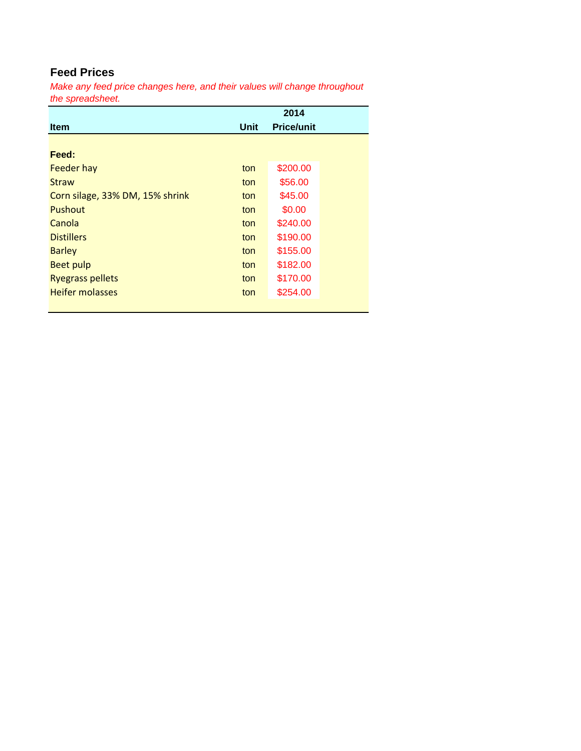# **Feed Prices**

*Make any feed price changes here, and their values will change throughout the spreadsheet.*

|                                 |             | 2014              |
|---------------------------------|-------------|-------------------|
| <b>Item</b>                     | <b>Unit</b> | <b>Price/unit</b> |
|                                 |             |                   |
| Feed:                           |             |                   |
| <b>Feeder hay</b>               | ton         | \$200.00          |
| <b>Straw</b>                    | ton         | \$56.00           |
| Corn silage, 33% DM, 15% shrink | ton         | \$45.00           |
| <b>Pushout</b>                  | ton         | \$0.00            |
| Canola                          | ton         | \$240.00          |
| <b>Distillers</b>               | ton         | \$190.00          |
| <b>Barley</b>                   | ton         | \$155.00          |
| <b>Beet pulp</b>                | ton         | \$182.00          |
| <b>Ryegrass pellets</b>         | ton         | \$170.00          |
| <b>Heifer molasses</b>          | ton         | \$254.00          |
|                                 |             |                   |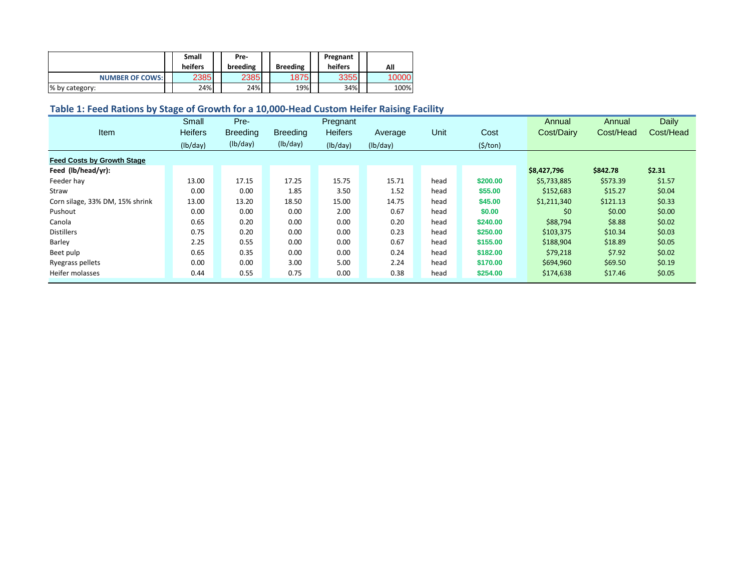|                        | <b>Small</b><br>heifers | Pre-<br>breeding | <b>Breeding</b> | Pregnant<br>heifers | All   |
|------------------------|-------------------------|------------------|-----------------|---------------------|-------|
| <b>NUMBER OF COWS:</b> | 2385                    | 2385             | 1875            | 3355                | 10000 |
| % by category:         | 24%                     | 24%              | 19%             | 34%                 | 100%  |

# **Table 1: Feed Rations by Stage of Growth for a 10,000-Head Custom Heifer Raising Facility**

|                                   | Small          | Pre-            |                 | Pregnant       |          |      |                | Annual      | Annual    | Daily     |
|-----------------------------------|----------------|-----------------|-----------------|----------------|----------|------|----------------|-------------|-----------|-----------|
| Item                              | <b>Heifers</b> | <b>Breeding</b> | <b>Breeding</b> | <b>Heifers</b> | Average  | Unit | Cost           | Cost/Dairy  | Cost/Head | Cost/Head |
|                                   | (lb/day)       | (lb/day)        | (lb/day)        | (lb/day)       | (lb/day) |      | $($ \$/ton $)$ |             |           |           |
| <b>Feed Costs by Growth Stage</b> |                |                 |                 |                |          |      |                |             |           |           |
| Feed (lb/head/yr):                |                |                 |                 |                |          |      |                | \$8,427,796 | \$842.78  | \$2.31    |
| Feeder hay                        | 13.00          | 17.15           | 17.25           | 15.75          | 15.71    | head | \$200.00       | \$5,733,885 | \$573.39  | \$1.57    |
| Straw                             | 0.00           | 0.00            | 1.85            | 3.50           | 1.52     | head | \$55.00        | \$152,683   | \$15.27   | \$0.04    |
| Corn silage, 33% DM, 15% shrink   | 13.00          | 13.20           | 18.50           | 15.00          | 14.75    | head | \$45.00        | \$1,211,340 | \$121.13  | \$0.33    |
| Pushout                           | 0.00           | 0.00            | 0.00            | 2.00           | 0.67     | head | \$0.00         | \$0         | \$0.00    | \$0.00    |
| Canola                            | 0.65           | 0.20            | 0.00            | 0.00           | 0.20     | head | \$240.00       | \$88,794    | \$8.88    | \$0.02    |
| <b>Distillers</b>                 | 0.75           | 0.20            | 0.00            | 0.00           | 0.23     | head | \$250.00       | \$103,375   | \$10.34   | \$0.03    |
| Barley                            | 2.25           | 0.55            | 0.00            | 0.00           | 0.67     | head | \$155.00       | \$188,904   | \$18.89   | \$0.05    |
| Beet pulp                         | 0.65           | 0.35            | 0.00            | 0.00           | 0.24     | head | \$182.00       | \$79,218    | \$7.92    | \$0.02    |
| Ryegrass pellets                  | 0.00           | 0.00            | 3.00            | 5.00           | 2.24     | head | \$170.00       | \$694,960   | \$69.50   | \$0.19    |
| Heifer molasses                   | 0.44           | 0.55            | 0.75            | 0.00           | 0.38     | head | \$254.00       | \$174,638   | \$17.46   | \$0.05    |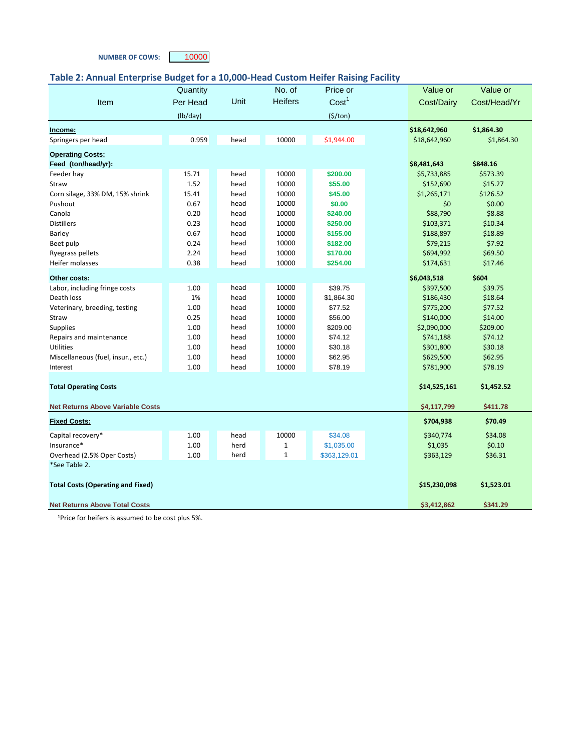## **NUMBER OF COWS:** 10000

## **Table 2: Annual Enterprise Budget for a 10,000-Head Custom Heifer Raising Facility**

| Price or<br>Quantity<br><b>Heifers</b><br>Cost <sup>1</sup><br>Unit<br>Per Head<br>Cost/Dairy<br>Cost/Head/Yr<br>Item<br>(lb/day)<br>$($ \$/ton $)$<br>\$1,864.30<br>\$18,642,960<br>Income:<br>0.959<br>10000<br>head<br>\$1,944.00<br>Springers per head<br>\$18,642,960<br>\$1,864.30<br><b>Operating Costs:</b><br>Feed (ton/head/yr):<br>\$8,481,643<br>\$848.16<br>15.71<br>head<br>10000<br>\$200.00<br>\$5,733,885<br>\$573.39<br>Feeder hay<br>10000<br>1.52<br>\$55.00<br>\$152,690<br>\$15.27<br>Straw<br>head<br>15.41<br>10000<br>\$45.00<br>\$1,265,171<br>\$126.52<br>Corn silage, 33% DM, 15% shrink<br>head<br>\$0.00<br>0.67<br>10000<br>\$0.00<br>\$0<br>Pushout<br>head<br>\$8.88<br>0.20<br>10000<br>\$88,790<br>Canola<br>head<br>\$240.00<br><b>Distillers</b><br>0.23<br>10000<br>\$250.00<br>\$103,371<br>\$10.34<br>head<br>10000<br>\$188,897<br>\$18.89<br>0.67<br>head<br>\$155.00<br>Barley<br>10000<br>\$7.92<br>Beet pulp<br>0.24<br>head<br>\$182.00<br>\$79,215<br>2.24<br>\$694,992<br>\$69.50<br>Ryegrass pellets<br>head<br>10000<br>\$170.00<br>0.38<br>Heifer molasses<br>10000<br>\$254.00<br>\$174,631<br>\$17.46<br>head<br>\$6,043,518<br>\$604<br>Other costs:<br>head<br>10000<br>\$39.75<br>\$397,500<br>\$39.75<br>Labor, including fringe costs<br>1.00<br>10000<br>Death loss<br>1%<br>head<br>\$1,864.30<br>\$186,430<br>\$18.64<br>\$77.52<br>\$775,200<br>\$77.52<br>1.00<br>10000<br>Veterinary, breeding, testing<br>head<br>0.25<br>10000<br>\$56.00<br>\$140,000<br>\$14.00<br>head<br>Straw<br><b>Supplies</b><br>1.00<br>10000<br>\$209.00<br>\$2,090,000<br>\$209.00<br>head<br>\$74.12<br>\$741,188<br>\$74.12<br>Repairs and maintenance<br>1.00<br>10000<br>head<br><b>Utilities</b><br>10000<br>\$30.18<br>\$301,800<br>\$30.18<br>1.00<br>head<br>Miscellaneous (fuel, insur., etc.)<br>1.00<br>head<br>10000<br>\$62.95<br>\$629,500<br>\$62.95<br>1.00<br>10000<br>\$78.19<br>\$781,900<br>\$78.19<br>Interest<br>head<br>\$14,525,161<br>\$1,452.52<br><b>Total Operating Costs</b><br>\$411.78<br><b>Net Returns Above Variable Costs</b><br>\$4,117,799<br>\$704,938<br>\$70.49<br><b>Fixed Costs:</b><br>10000<br>Capital recovery*<br>1.00<br>\$340,774<br>\$34.08<br>head<br>\$34.08<br>1.00<br>\$1,035.00<br>\$1,035<br>\$0.10<br>Insurance*<br>herd<br>$\mathbf{1}$<br>Overhead (2.5% Oper Costs)<br>1.00<br>$\mathbf 1$<br>\$363,129.01<br>\$363,129<br>\$36.31<br>herd<br>*See Table 2.<br>\$15,230,098<br>\$1,523.01<br><b>Total Costs (Operating and Fixed)</b> |                                      |  |        |  |             |          |
|-----------------------------------------------------------------------------------------------------------------------------------------------------------------------------------------------------------------------------------------------------------------------------------------------------------------------------------------------------------------------------------------------------------------------------------------------------------------------------------------------------------------------------------------------------------------------------------------------------------------------------------------------------------------------------------------------------------------------------------------------------------------------------------------------------------------------------------------------------------------------------------------------------------------------------------------------------------------------------------------------------------------------------------------------------------------------------------------------------------------------------------------------------------------------------------------------------------------------------------------------------------------------------------------------------------------------------------------------------------------------------------------------------------------------------------------------------------------------------------------------------------------------------------------------------------------------------------------------------------------------------------------------------------------------------------------------------------------------------------------------------------------------------------------------------------------------------------------------------------------------------------------------------------------------------------------------------------------------------------------------------------------------------------------------------------------------------------------------------------------------------------------------------------------------------------------------------------------------------------------------------------------------------------------------------------------------------------------------------------------------------------------------------------------------------------------------------------------------------------------------------------------------------------------------|--------------------------------------|--|--------|--|-------------|----------|
|                                                                                                                                                                                                                                                                                                                                                                                                                                                                                                                                                                                                                                                                                                                                                                                                                                                                                                                                                                                                                                                                                                                                                                                                                                                                                                                                                                                                                                                                                                                                                                                                                                                                                                                                                                                                                                                                                                                                                                                                                                                                                                                                                                                                                                                                                                                                                                                                                                                                                                                                               |                                      |  | No. of |  | Value or    | Value or |
|                                                                                                                                                                                                                                                                                                                                                                                                                                                                                                                                                                                                                                                                                                                                                                                                                                                                                                                                                                                                                                                                                                                                                                                                                                                                                                                                                                                                                                                                                                                                                                                                                                                                                                                                                                                                                                                                                                                                                                                                                                                                                                                                                                                                                                                                                                                                                                                                                                                                                                                                               |                                      |  |        |  |             |          |
|                                                                                                                                                                                                                                                                                                                                                                                                                                                                                                                                                                                                                                                                                                                                                                                                                                                                                                                                                                                                                                                                                                                                                                                                                                                                                                                                                                                                                                                                                                                                                                                                                                                                                                                                                                                                                                                                                                                                                                                                                                                                                                                                                                                                                                                                                                                                                                                                                                                                                                                                               |                                      |  |        |  |             |          |
|                                                                                                                                                                                                                                                                                                                                                                                                                                                                                                                                                                                                                                                                                                                                                                                                                                                                                                                                                                                                                                                                                                                                                                                                                                                                                                                                                                                                                                                                                                                                                                                                                                                                                                                                                                                                                                                                                                                                                                                                                                                                                                                                                                                                                                                                                                                                                                                                                                                                                                                                               |                                      |  |        |  |             |          |
|                                                                                                                                                                                                                                                                                                                                                                                                                                                                                                                                                                                                                                                                                                                                                                                                                                                                                                                                                                                                                                                                                                                                                                                                                                                                                                                                                                                                                                                                                                                                                                                                                                                                                                                                                                                                                                                                                                                                                                                                                                                                                                                                                                                                                                                                                                                                                                                                                                                                                                                                               |                                      |  |        |  |             |          |
|                                                                                                                                                                                                                                                                                                                                                                                                                                                                                                                                                                                                                                                                                                                                                                                                                                                                                                                                                                                                                                                                                                                                                                                                                                                                                                                                                                                                                                                                                                                                                                                                                                                                                                                                                                                                                                                                                                                                                                                                                                                                                                                                                                                                                                                                                                                                                                                                                                                                                                                                               |                                      |  |        |  |             |          |
|                                                                                                                                                                                                                                                                                                                                                                                                                                                                                                                                                                                                                                                                                                                                                                                                                                                                                                                                                                                                                                                                                                                                                                                                                                                                                                                                                                                                                                                                                                                                                                                                                                                                                                                                                                                                                                                                                                                                                                                                                                                                                                                                                                                                                                                                                                                                                                                                                                                                                                                                               |                                      |  |        |  |             |          |
|                                                                                                                                                                                                                                                                                                                                                                                                                                                                                                                                                                                                                                                                                                                                                                                                                                                                                                                                                                                                                                                                                                                                                                                                                                                                                                                                                                                                                                                                                                                                                                                                                                                                                                                                                                                                                                                                                                                                                                                                                                                                                                                                                                                                                                                                                                                                                                                                                                                                                                                                               |                                      |  |        |  |             |          |
|                                                                                                                                                                                                                                                                                                                                                                                                                                                                                                                                                                                                                                                                                                                                                                                                                                                                                                                                                                                                                                                                                                                                                                                                                                                                                                                                                                                                                                                                                                                                                                                                                                                                                                                                                                                                                                                                                                                                                                                                                                                                                                                                                                                                                                                                                                                                                                                                                                                                                                                                               |                                      |  |        |  |             |          |
|                                                                                                                                                                                                                                                                                                                                                                                                                                                                                                                                                                                                                                                                                                                                                                                                                                                                                                                                                                                                                                                                                                                                                                                                                                                                                                                                                                                                                                                                                                                                                                                                                                                                                                                                                                                                                                                                                                                                                                                                                                                                                                                                                                                                                                                                                                                                                                                                                                                                                                                                               |                                      |  |        |  |             |          |
|                                                                                                                                                                                                                                                                                                                                                                                                                                                                                                                                                                                                                                                                                                                                                                                                                                                                                                                                                                                                                                                                                                                                                                                                                                                                                                                                                                                                                                                                                                                                                                                                                                                                                                                                                                                                                                                                                                                                                                                                                                                                                                                                                                                                                                                                                                                                                                                                                                                                                                                                               |                                      |  |        |  |             |          |
|                                                                                                                                                                                                                                                                                                                                                                                                                                                                                                                                                                                                                                                                                                                                                                                                                                                                                                                                                                                                                                                                                                                                                                                                                                                                                                                                                                                                                                                                                                                                                                                                                                                                                                                                                                                                                                                                                                                                                                                                                                                                                                                                                                                                                                                                                                                                                                                                                                                                                                                                               |                                      |  |        |  |             |          |
|                                                                                                                                                                                                                                                                                                                                                                                                                                                                                                                                                                                                                                                                                                                                                                                                                                                                                                                                                                                                                                                                                                                                                                                                                                                                                                                                                                                                                                                                                                                                                                                                                                                                                                                                                                                                                                                                                                                                                                                                                                                                                                                                                                                                                                                                                                                                                                                                                                                                                                                                               |                                      |  |        |  |             |          |
|                                                                                                                                                                                                                                                                                                                                                                                                                                                                                                                                                                                                                                                                                                                                                                                                                                                                                                                                                                                                                                                                                                                                                                                                                                                                                                                                                                                                                                                                                                                                                                                                                                                                                                                                                                                                                                                                                                                                                                                                                                                                                                                                                                                                                                                                                                                                                                                                                                                                                                                                               |                                      |  |        |  |             |          |
|                                                                                                                                                                                                                                                                                                                                                                                                                                                                                                                                                                                                                                                                                                                                                                                                                                                                                                                                                                                                                                                                                                                                                                                                                                                                                                                                                                                                                                                                                                                                                                                                                                                                                                                                                                                                                                                                                                                                                                                                                                                                                                                                                                                                                                                                                                                                                                                                                                                                                                                                               |                                      |  |        |  |             |          |
|                                                                                                                                                                                                                                                                                                                                                                                                                                                                                                                                                                                                                                                                                                                                                                                                                                                                                                                                                                                                                                                                                                                                                                                                                                                                                                                                                                                                                                                                                                                                                                                                                                                                                                                                                                                                                                                                                                                                                                                                                                                                                                                                                                                                                                                                                                                                                                                                                                                                                                                                               |                                      |  |        |  |             |          |
|                                                                                                                                                                                                                                                                                                                                                                                                                                                                                                                                                                                                                                                                                                                                                                                                                                                                                                                                                                                                                                                                                                                                                                                                                                                                                                                                                                                                                                                                                                                                                                                                                                                                                                                                                                                                                                                                                                                                                                                                                                                                                                                                                                                                                                                                                                                                                                                                                                                                                                                                               |                                      |  |        |  |             |          |
|                                                                                                                                                                                                                                                                                                                                                                                                                                                                                                                                                                                                                                                                                                                                                                                                                                                                                                                                                                                                                                                                                                                                                                                                                                                                                                                                                                                                                                                                                                                                                                                                                                                                                                                                                                                                                                                                                                                                                                                                                                                                                                                                                                                                                                                                                                                                                                                                                                                                                                                                               |                                      |  |        |  |             |          |
|                                                                                                                                                                                                                                                                                                                                                                                                                                                                                                                                                                                                                                                                                                                                                                                                                                                                                                                                                                                                                                                                                                                                                                                                                                                                                                                                                                                                                                                                                                                                                                                                                                                                                                                                                                                                                                                                                                                                                                                                                                                                                                                                                                                                                                                                                                                                                                                                                                                                                                                                               |                                      |  |        |  |             |          |
|                                                                                                                                                                                                                                                                                                                                                                                                                                                                                                                                                                                                                                                                                                                                                                                                                                                                                                                                                                                                                                                                                                                                                                                                                                                                                                                                                                                                                                                                                                                                                                                                                                                                                                                                                                                                                                                                                                                                                                                                                                                                                                                                                                                                                                                                                                                                                                                                                                                                                                                                               |                                      |  |        |  |             |          |
|                                                                                                                                                                                                                                                                                                                                                                                                                                                                                                                                                                                                                                                                                                                                                                                                                                                                                                                                                                                                                                                                                                                                                                                                                                                                                                                                                                                                                                                                                                                                                                                                                                                                                                                                                                                                                                                                                                                                                                                                                                                                                                                                                                                                                                                                                                                                                                                                                                                                                                                                               |                                      |  |        |  |             |          |
|                                                                                                                                                                                                                                                                                                                                                                                                                                                                                                                                                                                                                                                                                                                                                                                                                                                                                                                                                                                                                                                                                                                                                                                                                                                                                                                                                                                                                                                                                                                                                                                                                                                                                                                                                                                                                                                                                                                                                                                                                                                                                                                                                                                                                                                                                                                                                                                                                                                                                                                                               |                                      |  |        |  |             |          |
|                                                                                                                                                                                                                                                                                                                                                                                                                                                                                                                                                                                                                                                                                                                                                                                                                                                                                                                                                                                                                                                                                                                                                                                                                                                                                                                                                                                                                                                                                                                                                                                                                                                                                                                                                                                                                                                                                                                                                                                                                                                                                                                                                                                                                                                                                                                                                                                                                                                                                                                                               |                                      |  |        |  |             |          |
|                                                                                                                                                                                                                                                                                                                                                                                                                                                                                                                                                                                                                                                                                                                                                                                                                                                                                                                                                                                                                                                                                                                                                                                                                                                                                                                                                                                                                                                                                                                                                                                                                                                                                                                                                                                                                                                                                                                                                                                                                                                                                                                                                                                                                                                                                                                                                                                                                                                                                                                                               |                                      |  |        |  |             |          |
|                                                                                                                                                                                                                                                                                                                                                                                                                                                                                                                                                                                                                                                                                                                                                                                                                                                                                                                                                                                                                                                                                                                                                                                                                                                                                                                                                                                                                                                                                                                                                                                                                                                                                                                                                                                                                                                                                                                                                                                                                                                                                                                                                                                                                                                                                                                                                                                                                                                                                                                                               |                                      |  |        |  |             |          |
|                                                                                                                                                                                                                                                                                                                                                                                                                                                                                                                                                                                                                                                                                                                                                                                                                                                                                                                                                                                                                                                                                                                                                                                                                                                                                                                                                                                                                                                                                                                                                                                                                                                                                                                                                                                                                                                                                                                                                                                                                                                                                                                                                                                                                                                                                                                                                                                                                                                                                                                                               |                                      |  |        |  |             |          |
|                                                                                                                                                                                                                                                                                                                                                                                                                                                                                                                                                                                                                                                                                                                                                                                                                                                                                                                                                                                                                                                                                                                                                                                                                                                                                                                                                                                                                                                                                                                                                                                                                                                                                                                                                                                                                                                                                                                                                                                                                                                                                                                                                                                                                                                                                                                                                                                                                                                                                                                                               |                                      |  |        |  |             |          |
|                                                                                                                                                                                                                                                                                                                                                                                                                                                                                                                                                                                                                                                                                                                                                                                                                                                                                                                                                                                                                                                                                                                                                                                                                                                                                                                                                                                                                                                                                                                                                                                                                                                                                                                                                                                                                                                                                                                                                                                                                                                                                                                                                                                                                                                                                                                                                                                                                                                                                                                                               |                                      |  |        |  |             |          |
|                                                                                                                                                                                                                                                                                                                                                                                                                                                                                                                                                                                                                                                                                                                                                                                                                                                                                                                                                                                                                                                                                                                                                                                                                                                                                                                                                                                                                                                                                                                                                                                                                                                                                                                                                                                                                                                                                                                                                                                                                                                                                                                                                                                                                                                                                                                                                                                                                                                                                                                                               |                                      |  |        |  |             |          |
|                                                                                                                                                                                                                                                                                                                                                                                                                                                                                                                                                                                                                                                                                                                                                                                                                                                                                                                                                                                                                                                                                                                                                                                                                                                                                                                                                                                                                                                                                                                                                                                                                                                                                                                                                                                                                                                                                                                                                                                                                                                                                                                                                                                                                                                                                                                                                                                                                                                                                                                                               |                                      |  |        |  |             |          |
|                                                                                                                                                                                                                                                                                                                                                                                                                                                                                                                                                                                                                                                                                                                                                                                                                                                                                                                                                                                                                                                                                                                                                                                                                                                                                                                                                                                                                                                                                                                                                                                                                                                                                                                                                                                                                                                                                                                                                                                                                                                                                                                                                                                                                                                                                                                                                                                                                                                                                                                                               |                                      |  |        |  |             |          |
|                                                                                                                                                                                                                                                                                                                                                                                                                                                                                                                                                                                                                                                                                                                                                                                                                                                                                                                                                                                                                                                                                                                                                                                                                                                                                                                                                                                                                                                                                                                                                                                                                                                                                                                                                                                                                                                                                                                                                                                                                                                                                                                                                                                                                                                                                                                                                                                                                                                                                                                                               |                                      |  |        |  |             |          |
|                                                                                                                                                                                                                                                                                                                                                                                                                                                                                                                                                                                                                                                                                                                                                                                                                                                                                                                                                                                                                                                                                                                                                                                                                                                                                                                                                                                                                                                                                                                                                                                                                                                                                                                                                                                                                                                                                                                                                                                                                                                                                                                                                                                                                                                                                                                                                                                                                                                                                                                                               |                                      |  |        |  |             |          |
|                                                                                                                                                                                                                                                                                                                                                                                                                                                                                                                                                                                                                                                                                                                                                                                                                                                                                                                                                                                                                                                                                                                                                                                                                                                                                                                                                                                                                                                                                                                                                                                                                                                                                                                                                                                                                                                                                                                                                                                                                                                                                                                                                                                                                                                                                                                                                                                                                                                                                                                                               |                                      |  |        |  |             |          |
|                                                                                                                                                                                                                                                                                                                                                                                                                                                                                                                                                                                                                                                                                                                                                                                                                                                                                                                                                                                                                                                                                                                                                                                                                                                                                                                                                                                                                                                                                                                                                                                                                                                                                                                                                                                                                                                                                                                                                                                                                                                                                                                                                                                                                                                                                                                                                                                                                                                                                                                                               |                                      |  |        |  |             |          |
|                                                                                                                                                                                                                                                                                                                                                                                                                                                                                                                                                                                                                                                                                                                                                                                                                                                                                                                                                                                                                                                                                                                                                                                                                                                                                                                                                                                                                                                                                                                                                                                                                                                                                                                                                                                                                                                                                                                                                                                                                                                                                                                                                                                                                                                                                                                                                                                                                                                                                                                                               |                                      |  |        |  |             |          |
|                                                                                                                                                                                                                                                                                                                                                                                                                                                                                                                                                                                                                                                                                                                                                                                                                                                                                                                                                                                                                                                                                                                                                                                                                                                                                                                                                                                                                                                                                                                                                                                                                                                                                                                                                                                                                                                                                                                                                                                                                                                                                                                                                                                                                                                                                                                                                                                                                                                                                                                                               |                                      |  |        |  |             |          |
|                                                                                                                                                                                                                                                                                                                                                                                                                                                                                                                                                                                                                                                                                                                                                                                                                                                                                                                                                                                                                                                                                                                                                                                                                                                                                                                                                                                                                                                                                                                                                                                                                                                                                                                                                                                                                                                                                                                                                                                                                                                                                                                                                                                                                                                                                                                                                                                                                                                                                                                                               |                                      |  |        |  |             |          |
|                                                                                                                                                                                                                                                                                                                                                                                                                                                                                                                                                                                                                                                                                                                                                                                                                                                                                                                                                                                                                                                                                                                                                                                                                                                                                                                                                                                                                                                                                                                                                                                                                                                                                                                                                                                                                                                                                                                                                                                                                                                                                                                                                                                                                                                                                                                                                                                                                                                                                                                                               | <b>Net Returns Above Total Costs</b> |  |        |  | \$3,412,862 | \$341.29 |

1Price for heifers is assumed to be cost plus 5%.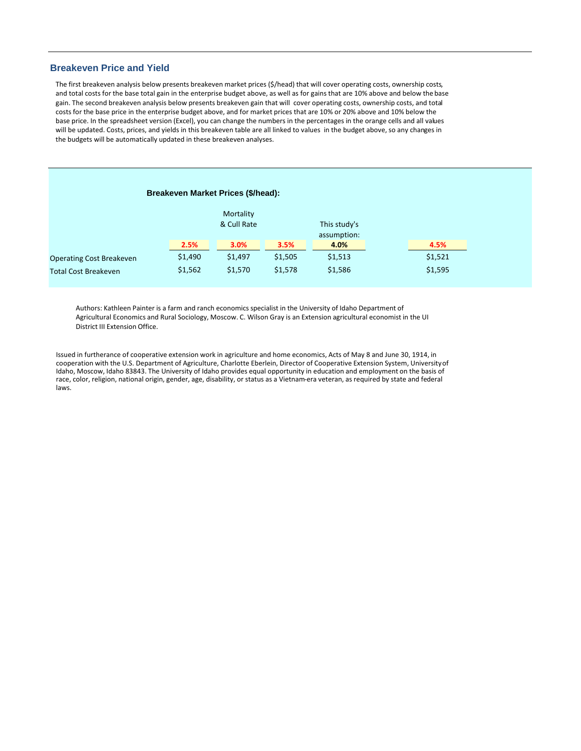## **Breakeven Price and Yield**

The first breakeven analysis below presents breakeven market prices (\$/head) that will cover operating costs, ownership costs, and total costs for the base total gain in the enterprise budget above, as well as for gains that are 10% above and below the base gain. The second breakeven analysis below presents breakeven gain that will cover operating costs, ownership costs, and total costs for the base price in the enterprise budget above, and for market prices that are 10% or 20% above and 10% below the base price. In the spreadsheet version (Excel), you can change the numbers in the percentages in the orange cells and all values will be updated. Costs, prices, and yields in this breakeven table are all linked to values in the budget above, so any changes in the budgets will be automatically updated in these breakeven analyses.

## **Breakeven Market Prices (\$/head):**

|                                 |         | Mortality<br>& Cull Rate |         | This study's<br>assumption: |         |
|---------------------------------|---------|--------------------------|---------|-----------------------------|---------|
|                                 | 2.5%    | 3.0%                     | 3.5%    | 4.0%                        | 4.5%    |
| <b>Operating Cost Breakeven</b> | \$1,490 | \$1,497                  | \$1,505 | \$1,513                     | \$1,521 |
| <b>Total Cost Breakeven</b>     | \$1,562 | \$1,570                  | \$1,578 | \$1,586                     | \$1,595 |

Authors: Kathleen Painter is a farm and ranch economics specialist in the University of Idaho Department of Agricultural Economics and Rural Sociology, Moscow. C. Wilson Gray is an Extension agricultural economist in the UI District III Extension Office.

Issued in furtherance of cooperative extension work in agriculture and home economics, Acts of May 8 and June 30, 1914, in cooperation with the U.S. Department of Agriculture, Charlotte Eberlein, Director of Cooperative Extension System, Universityof Idaho, Moscow, Idaho 83843. The University of Idaho provides equal opportunity in education and employment on the basis of race, color, religion, national origin, gender, age, disability, or status as a Vietnam-era veteran, as required by state and federal laws.